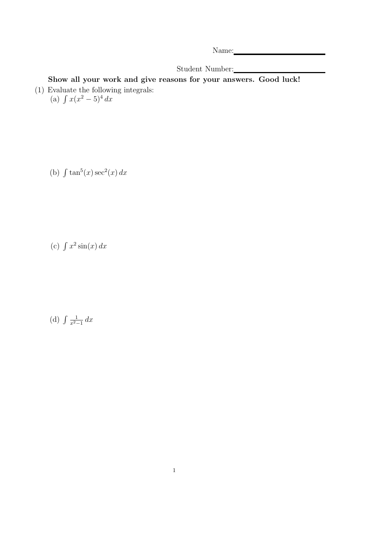Name: Name and Name and Name and Name and Name and Name and Name and Name and Name and Name and Name and Name and Name and Name and Name and Name and Name and Name and Name and Name and Name and Name and Name and Name and

Student Number:

Show all your work and give reasons for your answers. Good luck! (1) Evaluate the following integrals:<br>
(a)  $\int x(x^2 - 5)^4 dx$ 

(b)  $\int \tan^5(x) \sec^2(x) dx$ 

(c)  $\int x^2 \sin(x) dx$ 

(d)  $\int \frac{1}{x^2}$  $rac{1}{x^2-1}$  dx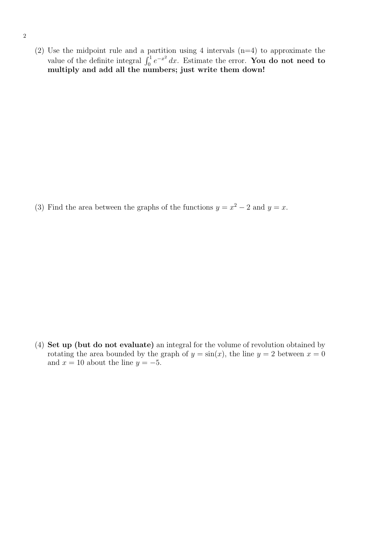(2) Use the midpoint rule and a partition using 4 intervals  $(n=4)$  to approximate the value of the definite integral  $\int_0^1 e^{-x^2} dx$ . Estimate the error. **You do not need to** multiply and add all the numbers; just write them down!

(3) Find the area between the graphs of the functions  $y = x^2 - 2$  and  $y = x$ .

(4) Set up (but do not evaluate) an integral for the volume of revolution obtained by rotating the area bounded by the graph of  $y = sin(x)$ , the line  $y = 2$  between  $x = 0$ and  $x = 10$  about the line  $y = -5$ .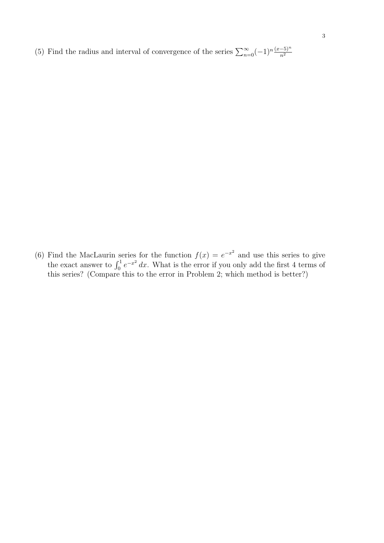(5) Find the radius and interval of convergence of the series  $\sum_{n=0}^{\infty}(-1)^n\frac{(x-5)^n}{n^2}$ 

(6) Find the MacLaurin series for the function  $f(x) = e^{-x^2}$  and use this series to give the exact answer to  $\int_0^1 e^{-x^2} dx$ . What is the error if you only add the first 4 terms of this series? (Compare this to the error in Problem 2; which method is better?)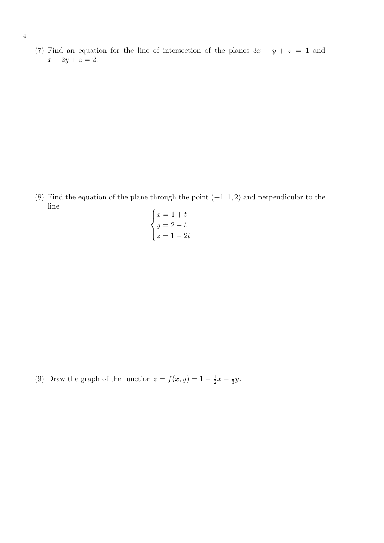(7) Find an equation for the line of intersection of the planes  $3x - y + z = 1$  and  $x - 2y + z = 2.$ 

(8) Find the equation of the plane through the point  $(-1, 1, 2)$  and perpendicular to the line  $\overline{a}$ 

$$
\begin{cases}\nx = 1 + t \\
y = 2 - t \\
z = 1 - 2t\n\end{cases}
$$

(9) Draw the graph of the function  $z = f(x, y) = 1 - \frac{1}{2}$  $rac{1}{2}x - \frac{1}{3}$  $rac{1}{3}y$ .